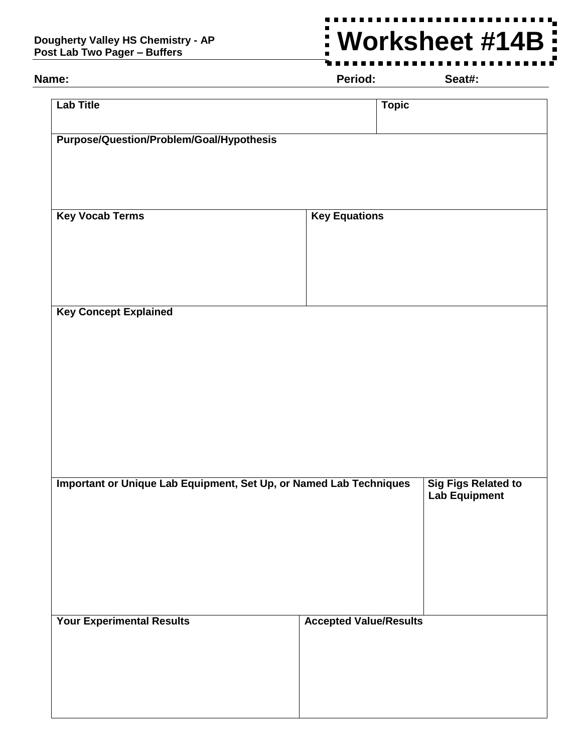## **Dougherty Valley HS Chemistry - AP Post Lab Two Pager – Buffers**

## -------**Worksheet #14B** $\overline{\phantom{a}}$  $\blacksquare$

**Name: Period: Seat#:**

| <b>Lab Title</b>                                                   | <b>Topic</b>                                       |
|--------------------------------------------------------------------|----------------------------------------------------|
| Purpose/Question/Problem/Goal/Hypothesis                           |                                                    |
|                                                                    |                                                    |
|                                                                    |                                                    |
| <b>Key Vocab Terms</b>                                             | <b>Key Equations</b>                               |
|                                                                    |                                                    |
|                                                                    |                                                    |
| <b>Key Concept Explained</b>                                       |                                                    |
|                                                                    |                                                    |
|                                                                    |                                                    |
|                                                                    |                                                    |
|                                                                    |                                                    |
|                                                                    |                                                    |
| Important or Unique Lab Equipment, Set Up, or Named Lab Techniques | <b>Sig Figs Related to</b><br><b>Lab Equipment</b> |
|                                                                    |                                                    |
|                                                                    |                                                    |
|                                                                    |                                                    |
| <b>Your Experimental Results</b>                                   | <b>Accepted Value/Results</b>                      |
|                                                                    |                                                    |
|                                                                    |                                                    |
|                                                                    |                                                    |